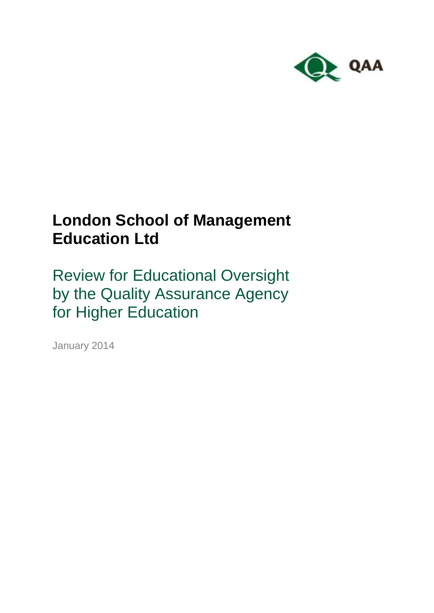

# **London School of Management Education Ltd**

Review for Educational Oversight by the Quality Assurance Agency for Higher Education

January 2014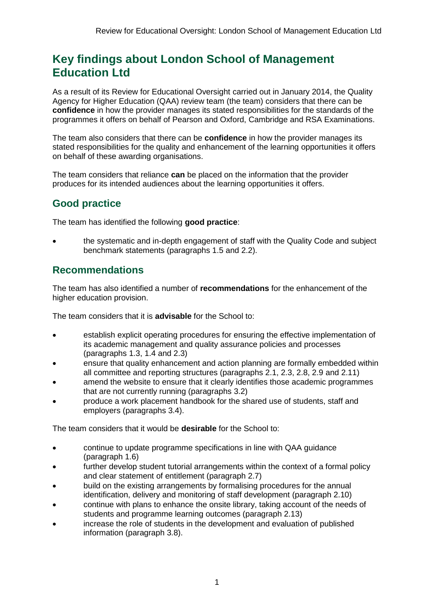## **Key findings about London School of Management Education Ltd**

As a result of its Review for Educational Oversight carried out in January 2014, the Quality Agency for Higher Education (QAA) review team (the team) considers that there can be **confidence** in how the provider manages its stated responsibilities for the standards of the programmes it offers on behalf of Pearson and Oxford, Cambridge and RSA Examinations.

The team also considers that there can be **confidence** in how the provider manages its stated responsibilities for the quality and enhancement of the learning opportunities it offers on behalf of these awarding organisations.

The team considers that reliance **can** be placed on the information that the provider produces for its intended audiences about the learning opportunities it offers.

### **Good practice**

The team has identified the following **good practice**:

 the systematic and in-depth engagement of staff with the Quality Code and subject benchmark statements (paragraphs 1.5 and 2.2).

### **Recommendations**

The team has also identified a number of **recommendations** for the enhancement of the higher education provision.

The team considers that it is **advisable** for the School to:

- establish explicit operating procedures for ensuring the effective implementation of its academic management and quality assurance policies and processes (paragraphs 1.3, 1.4 and 2.3)
- ensure that quality enhancement and action planning are formally embedded within all committee and reporting structures (paragraphs 2.1, 2.3, 2.8, 2.9 and 2.11)
- amend the website to ensure that it clearly identifies those academic programmes that are not currently running (paragraphs 3.2)
- produce a work placement handbook for the shared use of students, staff and employers (paragraphs 3.4).

The team considers that it would be **desirable** for the School to:

- continue to update programme specifications in line with QAA guidance (paragraph 1.6)
- further develop student tutorial arrangements within the context of a formal policy and clear statement of entitlement (paragraph 2.7)
- build on the existing arrangements by formalising procedures for the annual identification, delivery and monitoring of staff development (paragraph 2.10)
- continue with plans to enhance the onsite library, taking account of the needs of students and programme learning outcomes (paragraph 2.13)
- increase the role of students in the development and evaluation of published information (paragraph 3.8).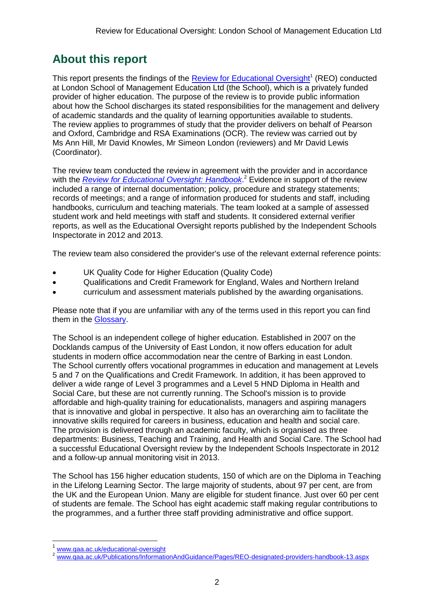# **About this report**

This report presents the findings of the **Review for Educational Oversight**<sup>1</sup> (REO) conducted at London School of Management Education Ltd (the School), which is a privately funded provider of higher education. The purpose of the review is to provide public information about how the School discharges its stated responsibilities for the management and delivery of academic standards and the quality of learning opportunities available to students. The review applies to programmes of study that the provider delivers on behalf of Pearson and Oxford, Cambridge and RSA Examinations (OCR). The review was carried out by Ms Ann Hill, Mr David Knowles, Mr Simeon London (reviewers) and Mr David Lewis (Coordinator).

The review team conducted the review in agreement with the provider and in accordance with the *[Review for Educational Oversight:](http://www.qaa.ac.uk/Publications/InformationAndGuidance/Pages/REO-designated-providers-handbook-13.aspx) Handbook*. <sup>2</sup> Evidence in support of the review included a range of internal documentation; policy, procedure and strategy statements; records of meetings; and a range of information produced for students and staff, including handbooks, curriculum and teaching materials. The team looked at a sample of assessed student work and held meetings with staff and students. It considered external verifier reports, as well as the Educational Oversight reports published by the Independent Schools Inspectorate in 2012 and 2013.

The review team also considered the provider's use of the relevant external reference points:

- UK Quality Code for Higher Education (Quality Code)
- Qualifications and Credit Framework for England, Wales and Northern Ireland
- curriculum and assessment materials published by the awarding organisations.

Please note that if you are unfamiliar with any of the terms used in this report you can find them in the [Glossary.](#page-17-0)

The School is an independent college of higher education. Established in 2007 on the Docklands campus of the University of East London, it now offers education for adult students in modern office accommodation near the centre of Barking in east London. The School currently offers vocational programmes in education and management at Levels 5 and 7 on the Qualifications and Credit Framework. In addition, it has been approved to deliver a wide range of Level 3 programmes and a Level 5 HND Diploma in Health and Social Care, but these are not currently running. The School's mission is to provide affordable and high-quality training for educationalists, managers and aspiring managers that is innovative and global in perspective. It also has an overarching aim to facilitate the innovative skills required for careers in business, education and health and social care. The provision is delivered through an academic faculty, which is organised as three departments: Business, Teaching and Training, and Health and Social Care. The School had a successful Educational Oversight review by the Independent Schools Inspectorate in 2012 and a follow-up annual monitoring visit in 2013.

The School has 156 higher education students, 150 of which are on the Diploma in Teaching in the Lifelong Learning Sector. The large majority of students, about 97 per cent, are from the UK and the European Union. Many are eligible for student finance. Just over 60 per cent of students are female. The School has eight academic staff making regular contributions to the programmes, and a further three staff providing administrative and office support.

-

<sup>1</sup> [www.qaa.ac.uk/educational-oversight](http://www.qaa.ac.uk/educational-oversight)

<sup>2</sup> [www.qaa.ac.uk/Publications/InformationAndGuidance/Pages/REO-designated-providers-handbook-13.aspx](http://www.qaa.ac.uk/Publications/InformationAndGuidance/Pages/REO-designated-providers-handbook-13.aspx)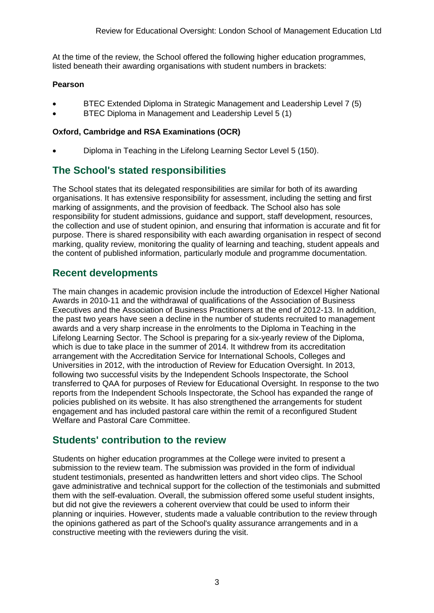At the time of the review, the School offered the following higher education programmes, listed beneath their awarding organisations with student numbers in brackets:

#### **Pearson**

- BTEC Extended Diploma in Strategic Management and Leadership Level 7 (5)
- BTEC Diploma in Management and Leadership Level 5 (1)

#### **Oxford, Cambridge and RSA Examinations (OCR)**

Diploma in Teaching in the Lifelong Learning Sector Level 5 (150).

### **The School's stated responsibilities**

The School states that its delegated responsibilities are similar for both of its awarding organisations. It has extensive responsibility for assessment, including the setting and first marking of assignments, and the provision of feedback. The School also has sole responsibility for student admissions, guidance and support, staff development, resources, the collection and use of student opinion, and ensuring that information is accurate and fit for purpose. There is shared responsibility with each awarding organisation in respect of second marking, quality review, monitoring the quality of learning and teaching, student appeals and the content of published information, particularly module and programme documentation.

### **Recent developments**

The main changes in academic provision include the introduction of Edexcel Higher National Awards in 2010-11 and the withdrawal of qualifications of the Association of Business Executives and the Association of Business Practitioners at the end of 2012-13. In addition, the past two years have seen a decline in the number of students recruited to management awards and a very sharp increase in the enrolments to the Diploma in Teaching in the Lifelong Learning Sector. The School is preparing for a six-yearly review of the Diploma, which is due to take place in the summer of 2014. It withdrew from its accreditation arrangement with the Accreditation Service for International Schools, Colleges and Universities in 2012, with the introduction of Review for Education Oversight. In 2013, following two successful visits by the Independent Schools Inspectorate, the School transferred to QAA for purposes of Review for Educational Oversight. In response to the two reports from the Independent Schools Inspectorate, the School has expanded the range of policies published on its website. It has also strengthened the arrangements for student engagement and has included pastoral care within the remit of a reconfigured Student Welfare and Pastoral Care Committee.

### **Students' contribution to the review**

Students on higher education programmes at the College were invited to present a submission to the review team. The submission was provided in the form of individual student testimonials, presented as handwritten letters and short video clips. The School gave administrative and technical support for the collection of the testimonials and submitted them with the self-evaluation. Overall, the submission offered some useful student insights, but did not give the reviewers a coherent overview that could be used to inform their planning or inquiries. However, students made a valuable contribution to the review through the opinions gathered as part of the School's quality assurance arrangements and in a constructive meeting with the reviewers during the visit.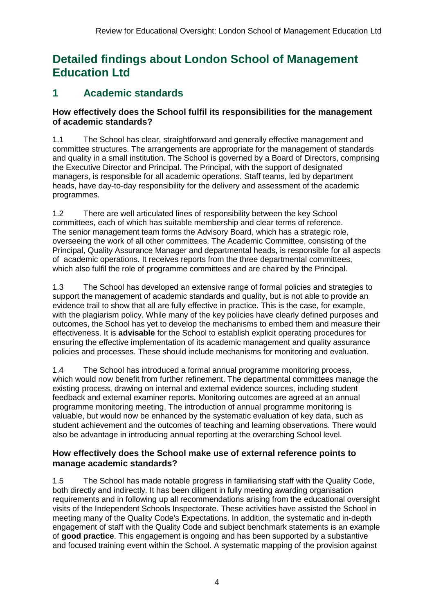# **Detailed findings about London School of Management Education Ltd**

### **1 Academic standards**

### **How effectively does the School fulfil its responsibilities for the management of academic standards?**

1.1 The School has clear, straightforward and generally effective management and committee structures. The arrangements are appropriate for the management of standards and quality in a small institution. The School is governed by a Board of Directors, comprising the Executive Director and Principal. The Principal, with the support of designated managers, is responsible for all academic operations. Staff teams, led by department heads, have day-to-day responsibility for the delivery and assessment of the academic programmes.

1.2 There are well articulated lines of responsibility between the key School committees, each of which has suitable membership and clear terms of reference. The senior management team forms the Advisory Board, which has a strategic role, overseeing the work of all other committees. The Academic Committee, consisting of the Principal, Quality Assurance Manager and departmental heads, is responsible for all aspects of academic operations. It receives reports from the three departmental committees, which also fulfil the role of programme committees and are chaired by the Principal.

1.3 The School has developed an extensive range of formal policies and strategies to support the management of academic standards and quality, but is not able to provide an evidence trail to show that all are fully effective in practice. This is the case, for example, with the plagiarism policy. While many of the key policies have clearly defined purposes and outcomes, the School has yet to develop the mechanisms to embed them and measure their effectiveness. It is **advisable** for the School to establish explicit operating procedures for ensuring the effective implementation of its academic management and quality assurance policies and processes. These should include mechanisms for monitoring and evaluation.

1.4 The School has introduced a formal annual programme monitoring process, which would now benefit from further refinement. The departmental committees manage the existing process, drawing on internal and external evidence sources, including student feedback and external examiner reports. Monitoring outcomes are agreed at an annual programme monitoring meeting. The introduction of annual programme monitoring is valuable, but would now be enhanced by the systematic evaluation of key data, such as student achievement and the outcomes of teaching and learning observations. There would also be advantage in introducing annual reporting at the overarching School level.

### **How effectively does the School make use of external reference points to manage academic standards?**

1.5 The School has made notable progress in familiarising staff with the Quality Code, both directly and indirectly. It has been diligent in fully meeting awarding organisation requirements and in following up all recommendations arising from the educational oversight visits of the Independent Schools Inspectorate. These activities have assisted the School in meeting many of the Quality Code's Expectations. In addition, the systematic and in-depth engagement of staff with the Quality Code and subject benchmark statements is an example of **good practice**. This engagement is ongoing and has been supported by a substantive and focused training event within the School. A systematic mapping of the provision against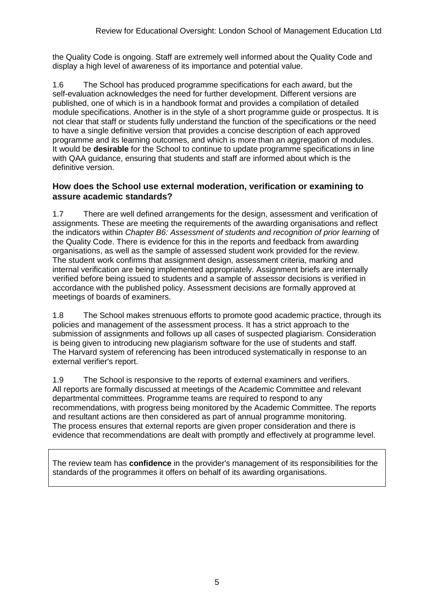the Quality Code is ongoing. Staff are extremely well informed about the Quality Code and display a high level of awareness of its importance and potential value.

1.6 The School has produced programme specifications for each award, but the self-evaluation acknowledges the need for further development. Different versions are published, one of which is in a handbook format and provides a compilation of detailed module specifications. Another is in the style of a short programme guide or prospectus. It is not clear that staff or students fully understand the function of the specifications or the need to have a single definitive version that provides a concise description of each approved programme and its learning outcomes, and which is more than an aggregation of modules. It would be **desirable** for the School to continue to update programme specifications in line with QAA guidance, ensuring that students and staff are informed about which is the definitive version.

#### **How does the School use external moderation, verification or examining to assure academic standards?**

1.7 There are well defined arrangements for the design, assessment and verification of assignments. These are meeting the requirements of the awarding organisations and reflect the indicators within *Chapter B6: Assessment of students and recognition of prior learning* of the Quality Code. There is evidence for this in the reports and feedback from awarding organisations, as well as the sample of assessed student work provided for the review. The student work confirms that assignment design, assessment criteria, marking and internal verification are being implemented appropriately. Assignment briefs are internally verified before being issued to students and a sample of assessor decisions is verified in accordance with the published policy. Assessment decisions are formally approved at meetings of boards of examiners.

1.8 The School makes strenuous efforts to promote good academic practice, through its policies and management of the assessment process. It has a strict approach to the submission of assignments and follows up all cases of suspected plagiarism. Consideration is being given to introducing new plagiarism software for the use of students and staff. The Harvard system of referencing has been introduced systematically in response to an external verifier's report.

1.9 The School is responsive to the reports of external examiners and verifiers. All reports are formally discussed at meetings of the Academic Committee and relevant departmental committees. Programme teams are required to respond to any recommendations, with progress being monitored by the Academic Committee. The reports and resultant actions are then considered as part of annual programme monitoring. The process ensures that external reports are given proper consideration and there is evidence that recommendations are dealt with promptly and effectively at programme level.

The review team has **confidence** in the provider's management of its responsibilities for the standards of the programmes it offers on behalf of its awarding organisations.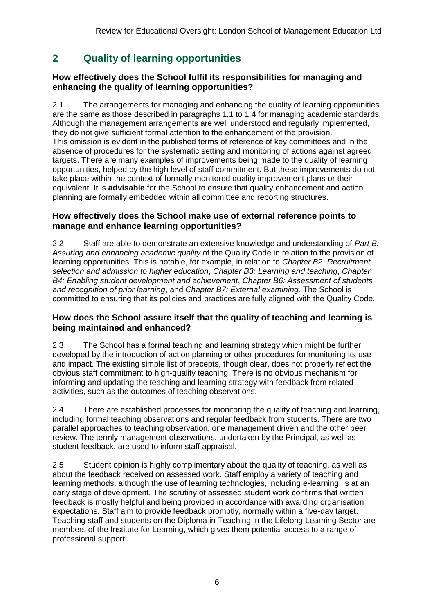### **2 Quality of learning opportunities**

### **How effectively does the School fulfil its responsibilities for managing and enhancing the quality of learning opportunities?**

2.1 The arrangements for managing and enhancing the quality of learning opportunities are the same as those described in paragraphs 1.1 to 1.4 for managing academic standards. Although the management arrangements are well understood and regularly implemented, they do not give sufficient formal attention to the enhancement of the provision. This omission is evident in the published terms of reference of key committees and in the absence of procedures for the systematic setting and monitoring of actions against agreed targets. There are many examples of improvements being made to the quality of learning opportunities, helped by the high level of staff commitment. But these improvements do not take place within the context of formally monitored quality improvement plans or their equivalent. It is **advisable** for the School to ensure that quality enhancement and action planning are formally embedded within all committee and reporting structures.

#### **How effectively does the School make use of external reference points to manage and enhance learning opportunities?**

2.2 Staff are able to demonstrate an extensive knowledge and understanding of *Part B: Assuring and enhancing academic quality* of the Quality Code in relation to the provision of learning opportunities. This is notable, for example, in relation to *Chapter B2: Recruitment, selection and admission to higher education*, *Chapter B3: Learning and teaching*, *Chapter B4: Enabling student development and achievement*, *Chapter B6: Assessment of students and recognition of prior learning*, and *Chapter B7: External examining.* The School is committed to ensuring that its policies and practices are fully aligned with the Quality Code*.*

### **How does the School assure itself that the quality of teaching and learning is being maintained and enhanced?**

2.3 The School has a formal teaching and learning strategy which might be further developed by the introduction of action planning or other procedures for monitoring its use and impact. The existing simple list of precepts, though clear, does not properly reflect the obvious staff commitment to high-quality teaching. There is no obvious mechanism for informing and updating the teaching and learning strategy with feedback from related activities, such as the outcomes of teaching observations.

2.4 There are established processes for monitoring the quality of teaching and learning, including formal teaching observations and regular feedback from students. There are two parallel approaches to teaching observation, one management driven and the other peer review. The termly management observations, undertaken by the Principal, as well as student feedback, are used to inform staff appraisal.

2.5 Student opinion is highly complimentary about the quality of teaching, as well as about the feedback received on assessed work. Staff employ a variety of teaching and learning methods, although the use of learning technologies, including e-learning, is at an early stage of development. The scrutiny of assessed student work confirms that written feedback is mostly helpful and being provided in accordance with awarding organisation expectations. Staff aim to provide feedback promptly, normally within a five-day target. Teaching staff and students on the Diploma in Teaching in the Lifelong Learning Sector are members of the Institute for Learning, which gives them potential access to a range of professional support.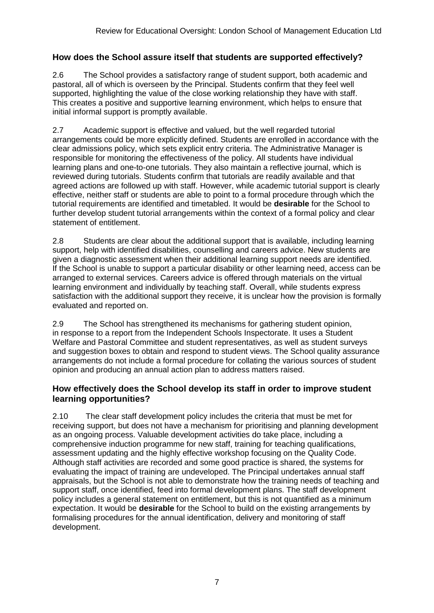### **How does the School assure itself that students are supported effectively?**

2.6 The School provides a satisfactory range of student support, both academic and pastoral, all of which is overseen by the Principal. Students confirm that they feel well supported, highlighting the value of the close working relationship they have with staff. This creates a positive and supportive learning environment, which helps to ensure that initial informal support is promptly available.

2.7 Academic support is effective and valued, but the well regarded tutorial arrangements could be more explicitly defined. Students are enrolled in accordance with the clear admissions policy, which sets explicit entry criteria. The Administrative Manager is responsible for monitoring the effectiveness of the policy. All students have individual learning plans and one-to-one tutorials. They also maintain a reflective journal, which is reviewed during tutorials. Students confirm that tutorials are readily available and that agreed actions are followed up with staff. However, while academic tutorial support is clearly effective, neither staff or students are able to point to a formal procedure through which the tutorial requirements are identified and timetabled. It would be **desirable** for the School to further develop student tutorial arrangements within the context of a formal policy and clear statement of entitlement.

2.8 Students are clear about the additional support that is available, including learning support, help with identified disabilities, counselling and careers advice. New students are given a diagnostic assessment when their additional learning support needs are identified. If the School is unable to support a particular disability or other learning need, access can be arranged to external services. Careers advice is offered through materials on the virtual learning environment and individually by teaching staff. Overall, while students express satisfaction with the additional support they receive, it is unclear how the provision is formally evaluated and reported on.

2.9 The School has strengthened its mechanisms for gathering student opinion, in response to a report from the Independent Schools Inspectorate. It uses a Student Welfare and Pastoral Committee and student representatives, as well as student surveys and suggestion boxes to obtain and respond to student views. The School quality assurance arrangements do not include a formal procedure for collating the various sources of student opinion and producing an annual action plan to address matters raised.

#### **How effectively does the School develop its staff in order to improve student learning opportunities?**

2.10 The clear staff development policy includes the criteria that must be met for receiving support, but does not have a mechanism for prioritising and planning development as an ongoing process. Valuable development activities do take place, including a comprehensive induction programme for new staff, training for teaching qualifications, assessment updating and the highly effective workshop focusing on the Quality Code. Although staff activities are recorded and some good practice is shared, the systems for evaluating the impact of training are undeveloped. The Principal undertakes annual staff appraisals, but the School is not able to demonstrate how the training needs of teaching and support staff, once identified, feed into formal development plans. The staff development policy includes a general statement on entitlement, but this is not quantified as a minimum expectation. It would be **desirable** for the School to build on the existing arrangements by formalising procedures for the annual identification, delivery and monitoring of staff development.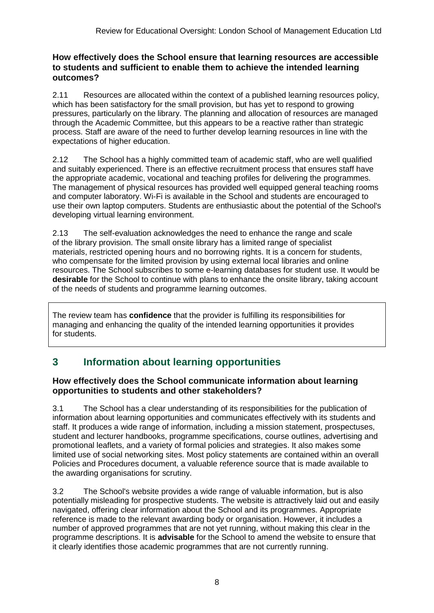#### **How effectively does the School ensure that learning resources are accessible to students and sufficient to enable them to achieve the intended learning outcomes?**

2.11 Resources are allocated within the context of a published learning resources policy, which has been satisfactory for the small provision, but has yet to respond to growing pressures, particularly on the library. The planning and allocation of resources are managed through the Academic Committee, but this appears to be a reactive rather than strategic process. Staff are aware of the need to further develop learning resources in line with the expectations of higher education.

2.12 The School has a highly committed team of academic staff, who are well qualified and suitably experienced. There is an effective recruitment process that ensures staff have the appropriate academic, vocational and teaching profiles for delivering the programmes. The management of physical resources has provided well equipped general teaching rooms and computer laboratory. Wi-Fi is available in the School and students are encouraged to use their own laptop computers. Students are enthusiastic about the potential of the School's developing virtual learning environment.

2.13 The self-evaluation acknowledges the need to enhance the range and scale of the library provision. The small onsite library has a limited range of specialist materials, restricted opening hours and no borrowing rights. It is a concern for students, who compensate for the limited provision by using external local libraries and online resources. The School subscribes to some e-learning databases for student use. It would be **desirable** for the School to continue with plans to enhance the onsite library, taking account of the needs of students and programme learning outcomes.

The review team has **confidence** that the provider is fulfilling its responsibilities for managing and enhancing the quality of the intended learning opportunities it provides for students.

### **3 Information about learning opportunities**

### **How effectively does the School communicate information about learning opportunities to students and other stakeholders?**

3.1 The School has a clear understanding of its responsibilities for the publication of information about learning opportunities and communicates effectively with its students and staff. It produces a wide range of information, including a mission statement, prospectuses, student and lecturer handbooks, programme specifications, course outlines, advertising and promotional leaflets, and a variety of formal policies and strategies. It also makes some limited use of social networking sites. Most policy statements are contained within an overall Policies and Procedures document, a valuable reference source that is made available to the awarding organisations for scrutiny.

3.2 The School's website provides a wide range of valuable information, but is also potentially misleading for prospective students. The website is attractively laid out and easily navigated, offering clear information about the School and its programmes. Appropriate reference is made to the relevant awarding body or organisation. However, it includes a number of approved programmes that are not yet running, without making this clear in the programme descriptions. It is **advisable** for the School to amend the website to ensure that it clearly identifies those academic programmes that are not currently running.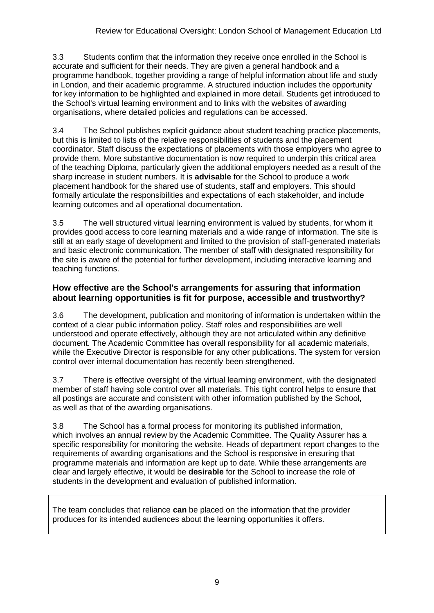3.3 Students confirm that the information they receive once enrolled in the School is accurate and sufficient for their needs. They are given a general handbook and a programme handbook, together providing a range of helpful information about life and study in London, and their academic programme. A structured induction includes the opportunity for key information to be highlighted and explained in more detail. Students get introduced to the School's virtual learning environment and to links with the websites of awarding organisations, where detailed policies and regulations can be accessed.

3.4 The School publishes explicit guidance about student teaching practice placements, but this is limited to lists of the relative responsibilities of students and the placement coordinator. Staff discuss the expectations of placements with those employers who agree to provide them. More substantive documentation is now required to underpin this critical area of the teaching Diploma, particularly given the additional employers needed as a result of the sharp increase in student numbers. It is **advisable** for the School to produce a work placement handbook for the shared use of students, staff and employers. This should formally articulate the responsibilities and expectations of each stakeholder, and include learning outcomes and all operational documentation.

3.5 The well structured virtual learning environment is valued by students, for whom it provides good access to core learning materials and a wide range of information. The site is still at an early stage of development and limited to the provision of staff-generated materials and basic electronic communication. The member of staff with designated responsibility for the site is aware of the potential for further development, including interactive learning and teaching functions.

### **How effective are the School's arrangements for assuring that information about learning opportunities is fit for purpose, accessible and trustworthy?**

3.6 The development, publication and monitoring of information is undertaken within the context of a clear public information policy. Staff roles and responsibilities are well understood and operate effectively, although they are not articulated within any definitive document. The Academic Committee has overall responsibility for all academic materials, while the Executive Director is responsible for any other publications. The system for version control over internal documentation has recently been strengthened.

3.7 There is effective oversight of the virtual learning environment, with the designated member of staff having sole control over all materials. This tight control helps to ensure that all postings are accurate and consistent with other information published by the School, as well as that of the awarding organisations.

3.8 The School has a formal process for monitoring its published information, which involves an annual review by the Academic Committee. The Quality Assurer has a specific responsibility for monitoring the website. Heads of department report changes to the requirements of awarding organisations and the School is responsive in ensuring that programme materials and information are kept up to date. While these arrangements are clear and largely effective, it would be **desirable** for the School to increase the role of students in the development and evaluation of published information.

The team concludes that reliance **can** be placed on the information that the provider produces for its intended audiences about the learning opportunities it offers.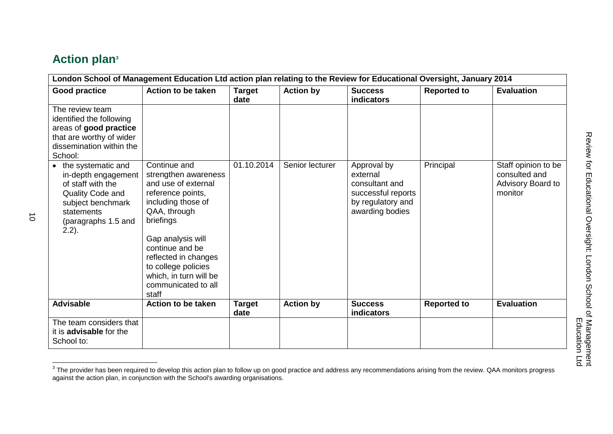# **Action plan<sup>3</sup>**

| London School of Management Education Ltd action plan relating to the Review for Educational Oversight, January 2014                                       |                                                                                                                                                                                                                                                                                      |                       |                  |                                                                                                         |                    |                                                                      |  |
|------------------------------------------------------------------------------------------------------------------------------------------------------------|--------------------------------------------------------------------------------------------------------------------------------------------------------------------------------------------------------------------------------------------------------------------------------------|-----------------------|------------------|---------------------------------------------------------------------------------------------------------|--------------------|----------------------------------------------------------------------|--|
| <b>Good practice</b>                                                                                                                                       | <b>Action to be taken</b>                                                                                                                                                                                                                                                            | <b>Target</b><br>date | <b>Action by</b> | <b>Success</b><br><b>indicators</b>                                                                     | <b>Reported to</b> | <b>Evaluation</b>                                                    |  |
| The review team<br>identified the following<br>areas of good practice<br>that are worthy of wider<br>dissemination within the<br>School:                   |                                                                                                                                                                                                                                                                                      |                       |                  |                                                                                                         |                    |                                                                      |  |
| • the systematic and<br>in-depth engagement<br>of staff with the<br>Quality Code and<br>subject benchmark<br>statements<br>(paragraphs 1.5 and<br>$2.2$ ). | Continue and<br>strengthen awareness<br>and use of external<br>reference points,<br>including those of<br>QAA, through<br>briefings<br>Gap analysis will<br>continue and be<br>reflected in changes<br>to college policies<br>which, in turn will be<br>communicated to all<br>staff | 01.10.2014            | Senior lecturer  | Approval by<br>external<br>consultant and<br>successful reports<br>by regulatory and<br>awarding bodies | Principal          | Staff opinion to be<br>consulted and<br>Advisory Board to<br>monitor |  |
| <b>Advisable</b>                                                                                                                                           | <b>Action to be taken</b>                                                                                                                                                                                                                                                            | <b>Target</b><br>date | <b>Action by</b> | <b>Success</b><br><b>indicators</b>                                                                     | <b>Reported to</b> | <b>Evaluation</b>                                                    |  |
| The team considers that<br>it is <b>advisable</b> for the<br>School to:                                                                                    |                                                                                                                                                                                                                                                                                      |                       |                  |                                                                                                         |                    |                                                                      |  |

The provider has been required to develop this action plan to follow up on good practice and address any recommendations arising from the review. QAA monitors progress<br>The provider has been required to develop this action against the action plan, in conjunction with the School's awarding organisations.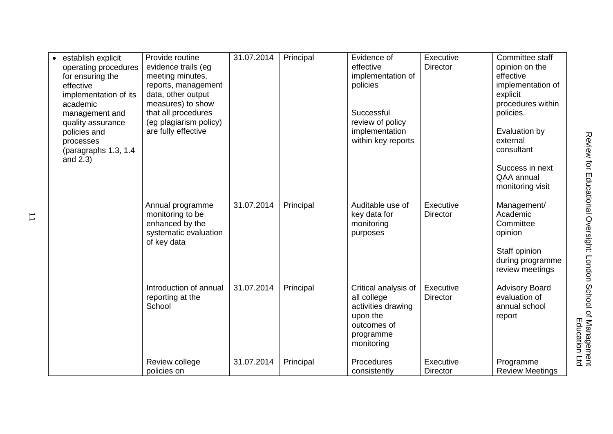| establish explicit<br>operating procedures<br>for ensuring the<br>effective<br>implementation of its<br>academic<br>management and<br>quality assurance<br>policies and<br>processes<br>(paragraphs 1.3, 1.4<br>and $2.3$ ) | Provide routine<br>evidence trails (eg<br>meeting minutes,<br>reports, management<br>data, other output<br>measures) to show<br>that all procedures<br>(eg plagiarism policy)<br>are fully effective | 31.07.2014 | Principal | Evidence of<br>effective<br>implementation of<br>policies<br>Successful<br>review of policy<br>implementation<br>within key reports | Executive<br><b>Director</b> | Committee staff<br>opinion on the<br>effective<br>implementation of<br>explicit<br>procedures within<br>policies.<br>Evaluation by<br>external<br>consultant<br>Success in next<br>QAA annual<br>monitoring visit |
|-----------------------------------------------------------------------------------------------------------------------------------------------------------------------------------------------------------------------------|------------------------------------------------------------------------------------------------------------------------------------------------------------------------------------------------------|------------|-----------|-------------------------------------------------------------------------------------------------------------------------------------|------------------------------|-------------------------------------------------------------------------------------------------------------------------------------------------------------------------------------------------------------------|
|                                                                                                                                                                                                                             | Annual programme<br>monitoring to be<br>enhanced by the<br>systematic evaluation<br>of key data                                                                                                      | 31.07.2014 | Principal | Auditable use of<br>key data for<br>monitoring<br>purposes                                                                          | Executive<br><b>Director</b> | Management/<br>Academic<br>Committee<br>opinion<br>Staff opinion<br>during programme<br>review meetings                                                                                                           |
|                                                                                                                                                                                                                             | Introduction of annual<br>reporting at the<br>School                                                                                                                                                 | 31.07.2014 | Principal | Critical analysis of<br>all college<br>activities drawing<br>upon the<br>outcomes of<br>programme<br>monitoring                     | Executive<br><b>Director</b> | <b>Advisory Board</b><br>evaluation of<br>annual school<br>report                                                                                                                                                 |
|                                                                                                                                                                                                                             | Review college<br>policies on                                                                                                                                                                        | 31.07.2014 | Principal | Procedures<br>consistently                                                                                                          | Executive<br><b>Director</b> | Programme<br><b>Review Meetings</b>                                                                                                                                                                               |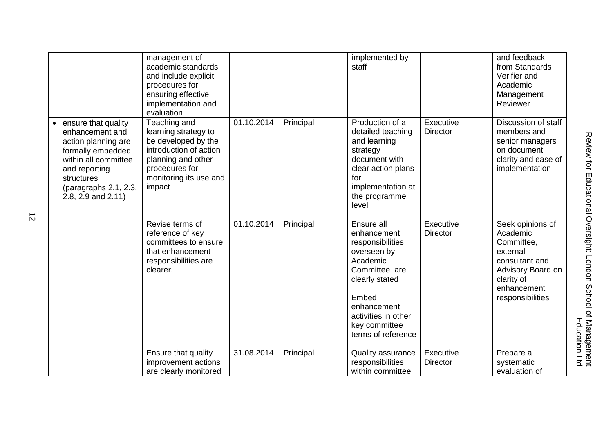|                                                                                                                                                                                               | management of<br>academic standards<br>and include explicit<br>procedures for<br>ensuring effective<br>implementation and<br>evaluation                           |            |           | implemented by<br>staff                                                                                                                                                                           |                              | and feedback<br>from Standards<br>Verifier and<br>Academic<br>Management<br>Reviewer                                                           |
|-----------------------------------------------------------------------------------------------------------------------------------------------------------------------------------------------|-------------------------------------------------------------------------------------------------------------------------------------------------------------------|------------|-----------|---------------------------------------------------------------------------------------------------------------------------------------------------------------------------------------------------|------------------------------|------------------------------------------------------------------------------------------------------------------------------------------------|
| • ensure that quality<br>enhancement and<br>action planning are<br>formally embedded<br>within all committee<br>and reporting<br>structures<br>(paragraphs 2.1, 2.3,<br>2.8, 2.9 and $2.11$ ) | Teaching and<br>learning strategy to<br>be developed by the<br>introduction of action<br>planning and other<br>procedures for<br>monitoring its use and<br>impact | 01.10.2014 | Principal | Production of a<br>detailed teaching<br>and learning<br>strategy<br>document with<br>clear action plans<br>for<br>implementation at<br>the programme<br>level                                     | Executive<br><b>Director</b> | Discussion of staff<br>members and<br>senior managers<br>on document<br>clarity and ease of<br>implementation                                  |
|                                                                                                                                                                                               | Revise terms of<br>reference of key<br>committees to ensure<br>that enhancement<br>responsibilities are<br>clearer.                                               | 01.10.2014 | Principal | Ensure all<br>enhancement<br>responsibilities<br>overseen by<br>Academic<br>Committee are<br>clearly stated<br>Embed<br>enhancement<br>activities in other<br>key committee<br>terms of reference | Executive<br><b>Director</b> | Seek opinions of<br>Academic<br>Committee,<br>external<br>consultant and<br>Advisory Board on<br>clarity of<br>enhancement<br>responsibilities |
|                                                                                                                                                                                               | Ensure that quality<br>improvement actions<br>are clearly monitored                                                                                               | 31.08.2014 | Principal | Quality assurance<br>responsibilities<br>within committee                                                                                                                                         | Executive<br><b>Director</b> | Prepare a<br>systematic<br>evaluation of                                                                                                       |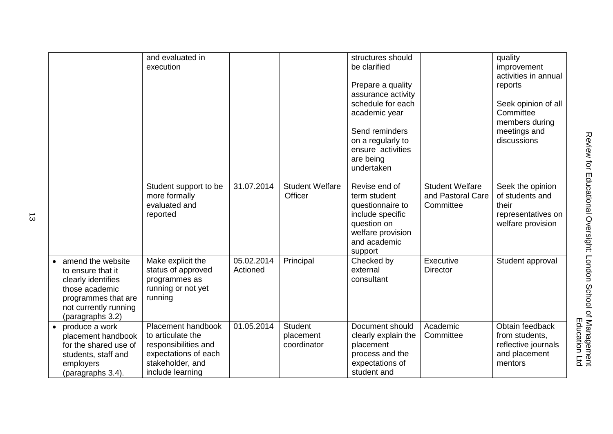|                                                                                                                                                    | and evaluated in<br>execution                                                                                                   |                        |                                            | structures should<br>be clarified<br>Prepare a quality<br>assurance activity<br>schedule for each<br>academic year<br>Send reminders<br>on a regularly to<br>ensure activities<br>are being<br>undertaken |                                                          | quality<br>improvement<br>activities in annual<br>reports<br>Seek opinion of all<br>Committee<br>members during<br>meetings and<br>discussions |
|----------------------------------------------------------------------------------------------------------------------------------------------------|---------------------------------------------------------------------------------------------------------------------------------|------------------------|--------------------------------------------|-----------------------------------------------------------------------------------------------------------------------------------------------------------------------------------------------------------|----------------------------------------------------------|------------------------------------------------------------------------------------------------------------------------------------------------|
|                                                                                                                                                    | Student support to be<br>more formally<br>evaluated and<br>reported                                                             | 31.07.2014             | <b>Student Welfare</b><br>Officer          | Revise end of<br>term student<br>questionnaire to<br>include specific<br>question on<br>welfare provision<br>and academic<br>support                                                                      | <b>Student Welfare</b><br>and Pastoral Care<br>Committee | Seek the opinion<br>of students and<br>their<br>representatives on<br>welfare provision                                                        |
| amend the website<br>to ensure that it<br>clearly identifies<br>those academic<br>programmes that are<br>not currently running<br>(paragraphs 3.2) | Make explicit the<br>status of approved<br>programmes as<br>running or not yet<br>running                                       | 05.02.2014<br>Actioned | Principal                                  | Checked by<br>external<br>consultant                                                                                                                                                                      | Executive<br><b>Director</b>                             | Student approval                                                                                                                               |
| produce a work<br>placement handbook<br>for the shared use of<br>students, staff and<br>employers<br>(paragraphs 3.4).                             | Placement handbook<br>to articulate the<br>responsibilities and<br>expectations of each<br>stakeholder, and<br>include learning | 01.05.2014             | <b>Student</b><br>placement<br>coordinator | Document should<br>clearly explain the<br>placement<br>process and the<br>expectations of<br>student and                                                                                                  | Academic<br>Committee                                    | Obtain feedback<br>from students,<br>reflective journals<br>and placement<br>mentors                                                           |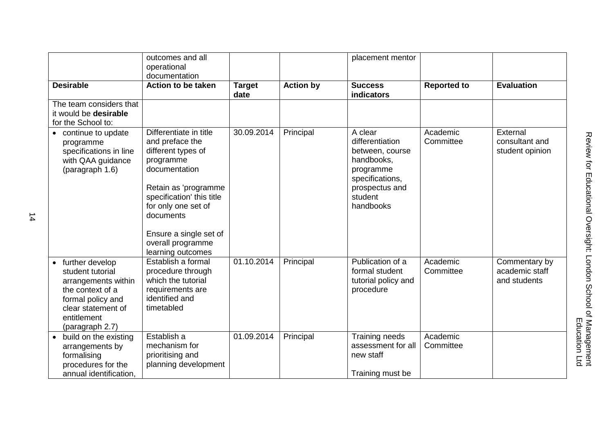|                                                                                                                                                               | outcomes and all                                                                                                                                                                                                                                           |                       |                  | placement mentor                                                                                                                      |                       |                                                 |
|---------------------------------------------------------------------------------------------------------------------------------------------------------------|------------------------------------------------------------------------------------------------------------------------------------------------------------------------------------------------------------------------------------------------------------|-----------------------|------------------|---------------------------------------------------------------------------------------------------------------------------------------|-----------------------|-------------------------------------------------|
|                                                                                                                                                               | operational<br>documentation                                                                                                                                                                                                                               |                       |                  |                                                                                                                                       |                       |                                                 |
| <b>Desirable</b>                                                                                                                                              | <b>Action to be taken</b>                                                                                                                                                                                                                                  | <b>Target</b><br>date | <b>Action by</b> | <b>Success</b><br>indicators                                                                                                          | <b>Reported to</b>    | <b>Evaluation</b>                               |
| The team considers that<br>it would be desirable<br>for the School to:                                                                                        |                                                                                                                                                                                                                                                            |                       |                  |                                                                                                                                       |                       |                                                 |
| continue to update<br>programme<br>specifications in line<br>with QAA guidance<br>(paragraph 1.6)                                                             | Differentiate in title<br>and preface the<br>different types of<br>programme<br>documentation<br>Retain as 'programme<br>specification' this title<br>for only one set of<br>documents<br>Ensure a single set of<br>overall programme<br>learning outcomes | 30.09.2014            | Principal        | A clear<br>differentiation<br>between, course<br>handbooks,<br>programme<br>specifications,<br>prospectus and<br>student<br>handbooks | Academic<br>Committee | External<br>consultant and<br>student opinion   |
| • further develop<br>student tutorial<br>arrangements within<br>the context of a<br>formal policy and<br>clear statement of<br>entitlement<br>(paragraph 2.7) | Establish a formal<br>procedure through<br>which the tutorial<br>requirements are<br>identified and<br>timetabled                                                                                                                                          | 01.10.2014            | Principal        | Publication of a<br>formal student<br>tutorial policy and<br>procedure                                                                | Academic<br>Committee | Commentary by<br>academic staff<br>and students |
| build on the existing<br>arrangements by<br>formalising<br>procedures for the<br>annual identification,                                                       | Establish a<br>mechanism for<br>prioritising and<br>planning development                                                                                                                                                                                   | 01.09.2014            | Principal        | Training needs<br>assessment for all<br>new staff<br>Training must be                                                                 | Academic<br>Committee |                                                 |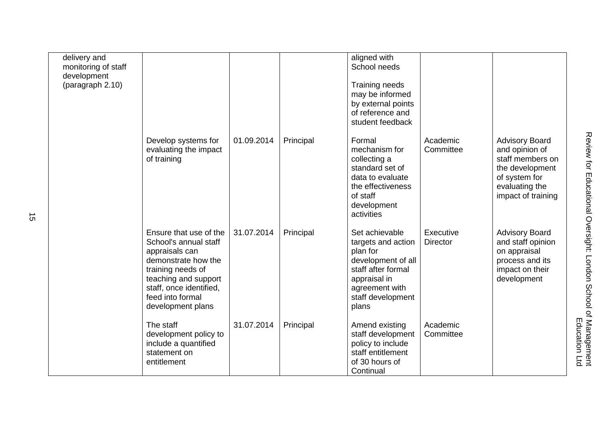| delivery and<br>monitoring of staff<br>development<br>(paragraph 2.10) |                                                                                                                                                                                                           |            |           | aligned with<br>School needs<br><b>Training needs</b><br>may be informed<br>by external points<br>of reference and<br>student feedback                       |                              |                                                                                                                                         |
|------------------------------------------------------------------------|-----------------------------------------------------------------------------------------------------------------------------------------------------------------------------------------------------------|------------|-----------|--------------------------------------------------------------------------------------------------------------------------------------------------------------|------------------------------|-----------------------------------------------------------------------------------------------------------------------------------------|
|                                                                        | Develop systems for<br>evaluating the impact<br>of training                                                                                                                                               | 01.09.2014 | Principal | Formal<br>mechanism for<br>collecting a<br>standard set of<br>data to evaluate<br>the effectiveness<br>of staff<br>development<br>activities                 | Academic<br>Committee        | <b>Advisory Board</b><br>and opinion of<br>staff members on<br>the development<br>of system for<br>evaluating the<br>impact of training |
|                                                                        | Ensure that use of the<br>School's annual staff<br>appraisals can<br>demonstrate how the<br>training needs of<br>teaching and support<br>staff, once identified,<br>feed into formal<br>development plans | 31.07.2014 | Principal | Set achievable<br>targets and action<br>plan for<br>development of all<br>staff after formal<br>appraisal in<br>agreement with<br>staff development<br>plans | Executive<br><b>Director</b> | <b>Advisory Board</b><br>and staff opinion<br>on appraisal<br>process and its<br>impact on their<br>development                         |
|                                                                        | The staff<br>development policy to<br>include a quantified<br>statement on<br>entitlement                                                                                                                 | 31.07.2014 | Principal | Amend existing<br>staff development<br>policy to include<br>staff entitlement<br>of 30 hours of<br>Continual                                                 | Academic<br>Committee        |                                                                                                                                         |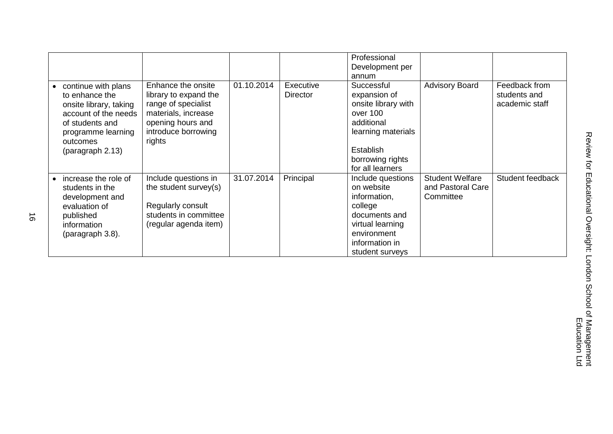|                                                                                                                                                                  |                                                                                                                                                 |            |                              | Professional<br>Development per                                                                                                                        |                                                          |                                                 |
|------------------------------------------------------------------------------------------------------------------------------------------------------------------|-------------------------------------------------------------------------------------------------------------------------------------------------|------------|------------------------------|--------------------------------------------------------------------------------------------------------------------------------------------------------|----------------------------------------------------------|-------------------------------------------------|
|                                                                                                                                                                  |                                                                                                                                                 |            |                              | annum                                                                                                                                                  |                                                          |                                                 |
| continue with plans<br>to enhance the<br>onsite library, taking<br>account of the needs<br>of students and<br>programme learning<br>outcomes<br>(paragraph 2.13) | Enhance the onsite<br>library to expand the<br>range of specialist<br>materials, increase<br>opening hours and<br>introduce borrowing<br>rights | 01.10.2014 | Executive<br><b>Director</b> | Successful<br>expansion of<br>onsite library with<br>over 100<br>additional<br>learning materials<br>Establish<br>borrowing rights<br>for all learners | <b>Advisory Board</b>                                    | Feedback from<br>students and<br>academic staff |
| increase the role of<br>students in the<br>development and<br>evaluation of<br>published<br>information<br>(paragraph 3.8).                                      | Include questions in<br>the student survey(s)<br>Regularly consult<br>students in committee<br>(regular agenda item)                            | 31.07.2014 | Principal                    | Include questions<br>on website<br>information,<br>college<br>documents and<br>virtual learning<br>environment<br>information in<br>student surveys    | <b>Student Welfare</b><br>and Pastoral Care<br>Committee | Student feedback                                |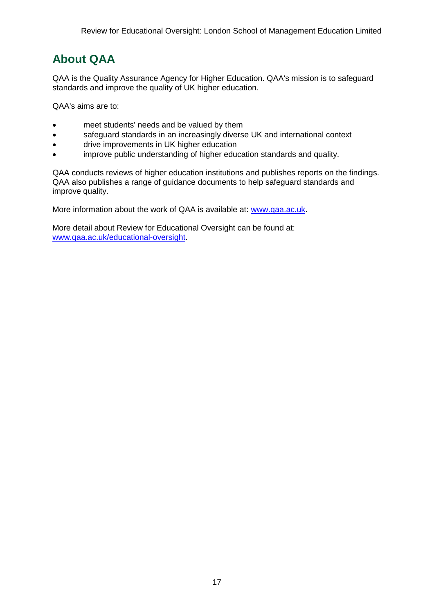# **About QAA**

QAA is the Quality Assurance Agency for Higher Education. QAA's mission is to safeguard standards and improve the quality of UK higher education.

QAA's aims are to:

- meet students' needs and be valued by them
- safeguard standards in an increasingly diverse UK and international context
- drive improvements in UK higher education
- improve public understanding of higher education standards and quality.

QAA conducts reviews of higher education institutions and publishes reports on the findings. QAA also publishes a range of guidance documents to help safeguard standards and improve quality.

More information about the work of QAA is available at: [www.qaa.ac.uk.](http://www.qaa.ac.uk/)

<span id="page-17-0"></span>More detail about Review for Educational Oversight can be found at: [www.qaa.ac.uk/educational-oversight.](http://www.qaa.ac.uk/educational-oversight)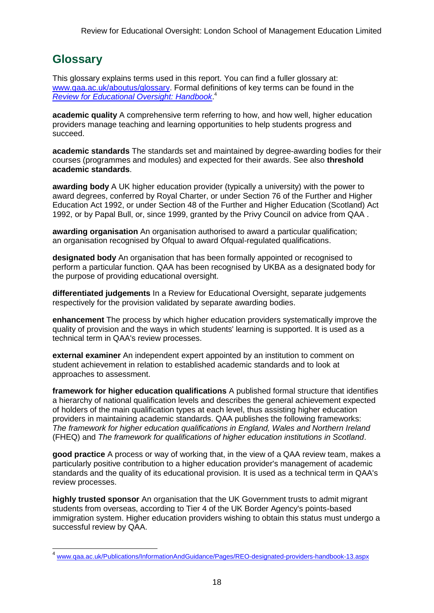# **Glossary**

This glossary explains terms used in this report. You can find a fuller glossary at: [www.qaa.ac.uk/aboutus/glossary.](http://www.qaa.ac.uk/aboutus/glossary) Formal definitions of key terms can be found in the *[Review for Educational Oversight: Handbook](http://www.qaa.ac.uk/Publications/InformationAndGuidance/Pages/REO-designated-providers-handbook-13.aspx)*. 4

**academic quality** A comprehensive term referring to how, and how well, higher education providers manage teaching and learning opportunities to help students progress and succeed.

**academic standards** The standards set and maintained by degree-awarding bodies for their courses (programmes and modules) and expected for their awards. See also **threshold academic standards**.

**awarding body** A UK higher education provider (typically a university) with the power to award degrees, conferred by Royal Charter, or under Section 76 of the Further and Higher Education Act 1992, or under Section 48 of the Further and Higher Education (Scotland) Act 1992, or by Papal Bull, or, since 1999, granted by the Privy Council on advice from QAA .

**awarding organisation** An organisation authorised to award a particular qualification; an organisation recognised by Ofqual to award Ofqual-regulated qualifications.

**designated body** An organisation that has been formally appointed or recognised to perform a particular function. QAA has been recognised by UKBA as a designated body for the purpose of providing educational oversight.

**differentiated judgements** In a Review for Educational Oversight, separate judgements respectively for the provision validated by separate awarding bodies.

**enhancement** The process by which higher education providers systematically improve the quality of provision and the ways in which students' learning is supported. It is used as a technical term in QAA's review processes.

**external examiner** An independent expert appointed by an institution to comment on student achievement in relation to established academic standards and to look at approaches to assessment.

**framework for higher education qualifications** A published formal structure that identifies a hierarchy of national qualification levels and describes the general achievement expected of holders of the main qualification types at each level, thus assisting higher education providers in maintaining academic standards. QAA publishes the following frameworks: *The framework for higher education qualifications in England, Wales and Northern Ireland* (FHEQ) and *The framework for qualifications of higher education institutions in Scotland*.

**good practice** A process or way of working that, in the view of a QAA review team, makes a particularly positive contribution to a higher education provider's management of academic standards and the quality of its educational provision. It is used as a technical term in QAA's review processes.

**highly trusted sponsor** An organisation that the UK Government trusts to admit migrant students from overseas, according to Tier 4 of the UK Border Agency's points-based immigration system. Higher education providers wishing to obtain this status must undergo a successful review by QAA.

\_<br><sup>4</sup> [www.qaa.ac.uk/Publications/InformationAndGuidance/Pages/REO-designated-providers-handbook-13.aspx](http://www.qaa.ac.uk/Publications/InformationAndGuidance/Pages/REO-designated-providers-handbook-13.aspx)